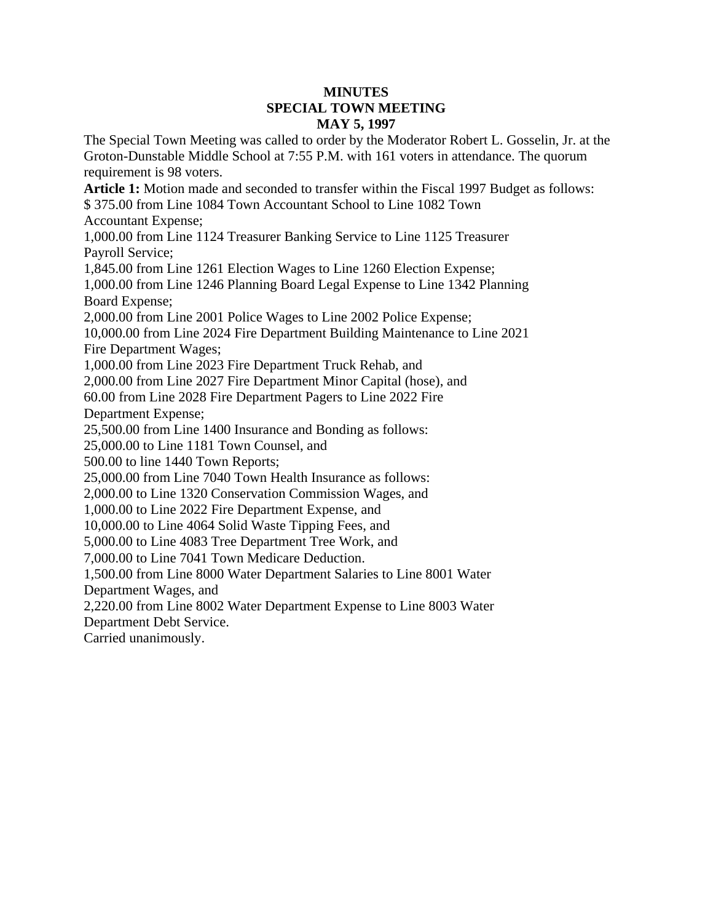## **MINUTES SPECIAL TOWN MEETING MAY 5, 1997**

The Special Town Meeting was called to order by the Moderator Robert L. Gosselin, Jr. at the Groton-Dunstable Middle School at 7:55 P.M. with 161 voters in attendance. The quorum requirement is 98 voters.

**Article 1:** Motion made and seconded to transfer within the Fiscal 1997 Budget as follows:

\$ 375.00 from Line 1084 Town Accountant School to Line 1082 Town

Accountant Expense;

1,000.00 from Line 1124 Treasurer Banking Service to Line 1125 Treasurer Payroll Service;

1,845.00 from Line 1261 Election Wages to Line 1260 Election Expense;

1,000.00 from Line 1246 Planning Board Legal Expense to Line 1342 Planning Board Expense;

2,000.00 from Line 2001 Police Wages to Line 2002 Police Expense;

10,000.00 from Line 2024 Fire Department Building Maintenance to Line 2021 Fire Department Wages;

1,000.00 from Line 2023 Fire Department Truck Rehab, and

2,000.00 from Line 2027 Fire Department Minor Capital (hose), and

60.00 from Line 2028 Fire Department Pagers to Line 2022 Fire

Department Expense;

25,500.00 from Line 1400 Insurance and Bonding as follows:

25,000.00 to Line 1181 Town Counsel, and

500.00 to line 1440 Town Reports;

25,000.00 from Line 7040 Town Health Insurance as follows:

2,000.00 to Line 1320 Conservation Commission Wages, and

1,000.00 to Line 2022 Fire Department Expense, and

10,000.00 to Line 4064 Solid Waste Tipping Fees, and

5,000.00 to Line 4083 Tree Department Tree Work, and

7,000.00 to Line 7041 Town Medicare Deduction.

1,500.00 from Line 8000 Water Department Salaries to Line 8001 Water Department Wages, and

2,220.00 from Line 8002 Water Department Expense to Line 8003 Water

Department Debt Service.

Carried unanimously.